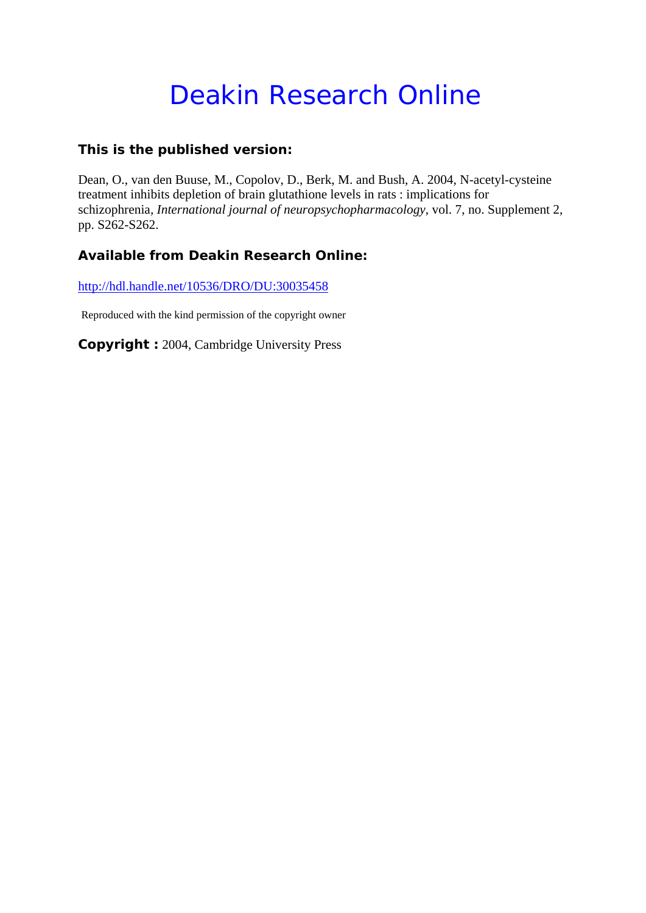## Deakin Research Online

## **This is the published version:**

Dean, O., van den Buuse, M., Copolov, D., Berk, M. and Bush, A. 2004, N-acetyl-cysteine treatment inhibits depletion of brain glutathione levels in rats : implications for schizophrenia*, International journal of neuropsychopharmacology*, vol. 7, no. Supplement 2, pp. S262-S262.

## **Available from Deakin Research Online:**

http://hdl.handle.net/10536/DRO/DU:30035458

Reproduced with the kind permission of the copyright owner

**Copyright :** 2004, Cambridge University Press